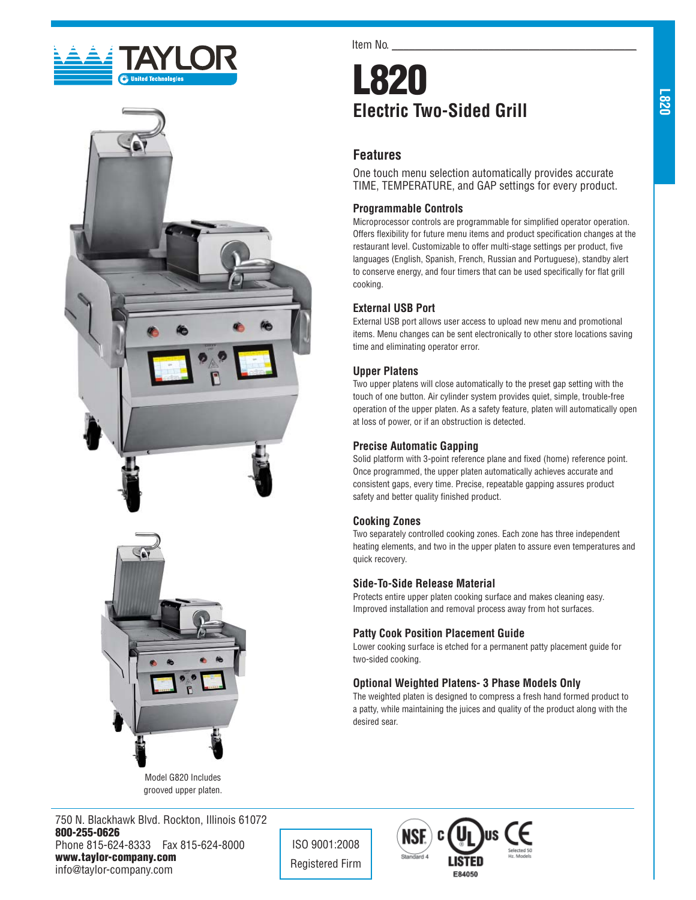





Model G820 Includes grooved upper platen.

750 N. Blackhawk Blvd. Rockton, Illinois 61072 **800-255-0626** Phone 815-624-8333 Fax 815-624-8000 **www.taylor-company.com** info@taylor-company.com

Item No.

# **L820 Electric Two-Sided Grill**

## **Features**

One touch menu selection automatically provides accurate TIME, TEMPERATURE, and GAP settings for every product.

#### **Programmable Controls**

Microprocessor controls are programmable for simplified operator operation. Offers flexibility for future menu items and product specification changes at the restaurant level. Customizable to offer multi-stage settings per product, five languages (English, Spanish, French, Russian and Portuguese), standby alert to conserve energy, and four timers that can be used specifically for flat grill cooking.

#### **External USB Port**

External USB port allows user access to upload new menu and promotional items. Menu changes can be sent electronically to other store locations saving time and eliminating operator error.

#### **Upper Platens**

Two upper platens will close automatically to the preset gap setting with the touch of one button. Air cylinder system provides quiet, simple, trouble-free operation of the upper platen. As a safety feature, platen will automatically open at loss of power, or if an obstruction is detected.

#### **Precise Automatic Gapping**

Solid platform with 3-point reference plane and fixed (home) reference point. Once programmed, the upper platen automatically achieves accurate and consistent gaps, every time. Precise, repeatable gapping assures product safety and better quality finished product.

#### **Cooking Zones**

Two separately controlled cooking zones. Each zone has three independent heating elements, and two in the upper platen to assure even temperatures and quick recovery.

#### **Side-To-Side Release Material**

Protects entire upper platen cooking surface and makes cleaning easy. Improved installation and removal process away from hot surfaces.

#### **Patty Cook Position Placement Guide**

Lower cooking surface is etched for a permanent patty placement guide for two-sided cooking.

#### **Optional Weighted Platens- 3 Phase Models Only**

The weighted platen is designed to compress a fresh hand formed product to a patty, while maintaining the juices and quality of the product along with the desired sear.